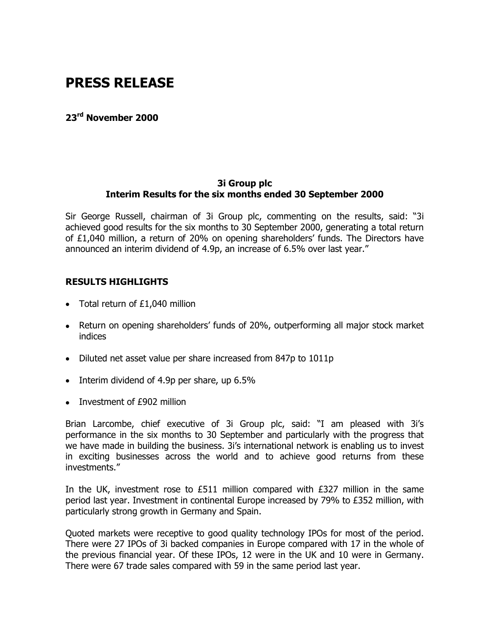# **PRESS RELEASE**

**23rd November 2000** 

## **3i Group plc Interim Results for the six months ended 30 September 2000**

Sir George Russell, chairman of 3i Group plc, commenting on the results, said: "3i achieved good results for the six months to 30 September 2000, generating a total return of £1,040 million, a return of 20% on opening shareholders' funds. The Directors have announced an interim dividend of 4.9p, an increase of 6.5% over last year."

# **RESULTS HIGHLIGHTS**

- Total return of £1,040 million
- Return on opening shareholders' funds of 20%, outperforming all major stock market indices
- Diluted net asset value per share increased from 847p to 1011p
- Interim dividend of 4.9p per share, up 6.5%
- Investment of £902 million

Brian Larcombe, chief executive of 3i Group plc, said: "I am pleased with 3i's performance in the six months to 30 September and particularly with the progress that we have made in building the business. 3i's international network is enabling us to invest in exciting businesses across the world and to achieve good returns from these investments."

In the UK, investment rose to £511 million compared with £327 million in the same period last year. Investment in continental Europe increased by 79% to £352 million, with particularly strong growth in Germany and Spain.

Quoted markets were receptive to good quality technology IPOs for most of the period. There were 27 IPOs of 3i backed companies in Europe compared with 17 in the whole of the previous financial year. Of these IPOs, 12 were in the UK and 10 were in Germany. There were 67 trade sales compared with 59 in the same period last year.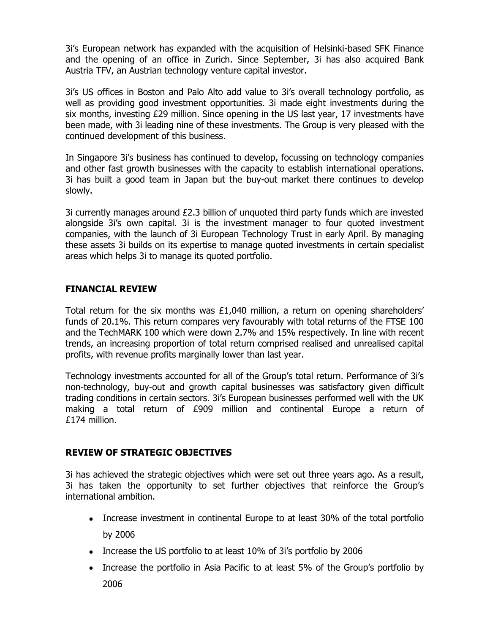3i's European network has expanded with the acquisition of Helsinki-based SFK Finance and the opening of an office in Zurich. Since September, 3i has also acquired Bank Austria TFV, an Austrian technology venture capital investor.

3i's US offices in Boston and Palo Alto add value to 3i's overall technology portfolio, as well as providing good investment opportunities. 3i made eight investments during the six months, investing £29 million. Since opening in the US last year, 17 investments have been made, with 3i leading nine of these investments. The Group is very pleased with the continued development of this business.

In Singapore 3i's business has continued to develop, focussing on technology companies and other fast growth businesses with the capacity to establish international operations. 3i has built a good team in Japan but the buy-out market there continues to develop slowly.

3i currently manages around £2.3 billion of unquoted third party funds which are invested alongside 3i's own capital. 3i is the investment manager to four quoted investment companies, with the launch of 3i European Technology Trust in early April. By managing these assets 3i builds on its expertise to manage quoted investments in certain specialist areas which helps 3i to manage its quoted portfolio.

# **FINANCIAL REVIEW**

Total return for the six months was  $£1,040$  million, a return on opening shareholders' funds of 20.1%. This return compares very favourably with total returns of the FTSE 100 and the TechMARK 100 which were down 2.7% and 15% respectively. In line with recent trends, an increasing proportion of total return comprised realised and unrealised capital profits, with revenue profits marginally lower than last year.

Technology investments accounted for all of the Group's total return. Performance of 3i's non-technology, buy-out and growth capital businesses was satisfactory given difficult trading conditions in certain sectors. 3i's European businesses performed well with the UK making a total return of £909 million and continental Europe a return of £174 million.

# **REVIEW OF STRATEGIC OBJECTIVES**

3i has achieved the strategic objectives which were set out three years ago. As a result, 3i has taken the opportunity to set further objectives that reinforce the Group's international ambition.

- Increase investment in continental Europe to at least 30% of the total portfolio by 2006
- Increase the US portfolio to at least 10% of 3i's portfolio by 2006
- Increase the portfolio in Asia Pacific to at least 5% of the Group's portfolio by 2006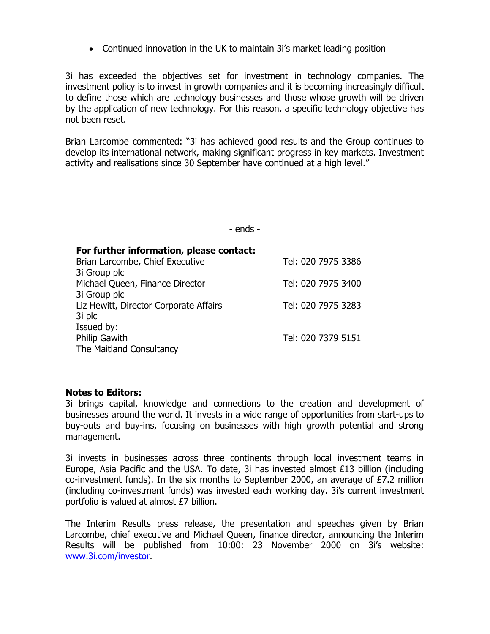- Continued innovation in the UK to maintain 3i's market leading position

3i has exceeded the objectives set for investment in technology companies. The investment policy is to invest in growth companies and it is becoming increasingly difficult to define those which are technology businesses and those whose growth will be driven by the application of new technology. For this reason, a specific technology objective has not been reset.

Brian Larcombe commented: "3i has achieved good results and the Group continues to develop its international network, making significant progress in key markets. Investment activity and realisations since 30 September have continued at a high level."

- ends -

| For further information, please contact: |                    |
|------------------------------------------|--------------------|
| Brian Larcombe, Chief Executive          | Tel: 020 7975 3386 |
| 3i Group plc                             |                    |
| Michael Queen, Finance Director          | Tel: 020 7975 3400 |
| 3i Group plc                             |                    |
| Liz Hewitt, Director Corporate Affairs   | Tel: 020 7975 3283 |
| 3i plc                                   |                    |
| Issued by:                               |                    |
| <b>Philip Gawith</b>                     | Tel: 020 7379 5151 |
| The Maitland Consultancy                 |                    |

### **Notes to Editors:**

3i brings capital, knowledge and connections to the creation and development of businesses around the world. It invests in a wide range of opportunities from start-ups to buy-outs and buy-ins, focusing on businesses with high growth potential and strong management.

3i invests in businesses across three continents through local investment teams in Europe, Asia Pacific and the USA. To date, 3i has invested almost £13 billion (including co-investment funds). In the six months to September 2000, an average of £7.2 million (including co-investment funds) was invested each working day. 3i's current investment portfolio is valued at almost £7 billion.

The Interim Results press release, the presentation and speeches given by Brian Larcombe, chief executive and Michael Queen, finance director, announcing the Interim Results will be published from 10:00: 23 November 2000 on 3i's website: www.3i.com/investor.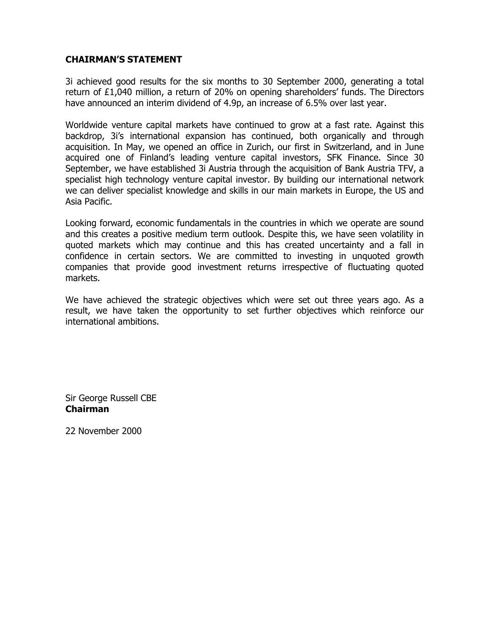# **CHAIRMAN'S STATEMENT**

3i achieved good results for the six months to 30 September 2000, generating a total return of £1,040 million, a return of 20% on opening shareholders' funds. The Directors have announced an interim dividend of 4.9p, an increase of 6.5% over last year.

Worldwide venture capital markets have continued to grow at a fast rate. Against this backdrop, 3i's international expansion has continued, both organically and through acquisition. In May, we opened an office in Zurich, our first in Switzerland, and in June acquired one of Finland's leading venture capital investors, SFK Finance. Since 30 September, we have established 3i Austria through the acquisition of Bank Austria TFV, a specialist high technology venture capital investor. By building our international network we can deliver specialist knowledge and skills in our main markets in Europe, the US and Asia Pacific.

Looking forward, economic fundamentals in the countries in which we operate are sound and this creates a positive medium term outlook. Despite this, we have seen volatility in quoted markets which may continue and this has created uncertainty and a fall in confidence in certain sectors. We are committed to investing in unquoted growth companies that provide good investment returns irrespective of fluctuating quoted markets.

We have achieved the strategic objectives which were set out three years ago. As a result, we have taken the opportunity to set further objectives which reinforce our international ambitions.

Sir George Russell CBE **Chairman** 

22 November 2000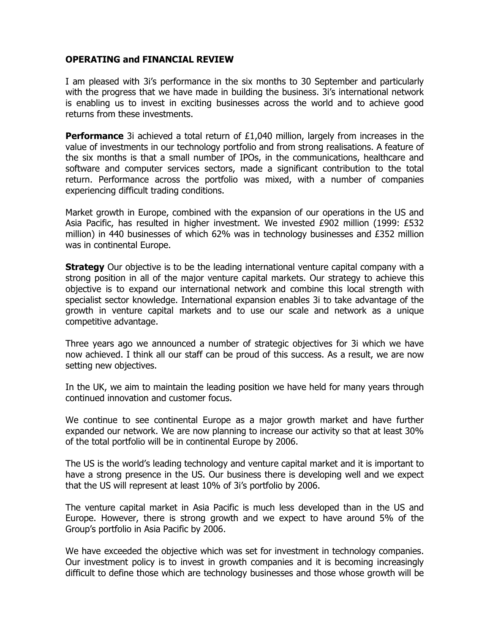## **OPERATING and FINANCIAL REVIEW**

I am pleased with 3i's performance in the six months to 30 September and particularly with the progress that we have made in building the business. 3i's international network is enabling us to invest in exciting businesses across the world and to achieve good returns from these investments.

**Performance** 3i achieved a total return of £1,040 million, largely from increases in the value of investments in our technology portfolio and from strong realisations. A feature of the six months is that a small number of IPOs, in the communications, healthcare and software and computer services sectors, made a significant contribution to the total return. Performance across the portfolio was mixed, with a number of companies experiencing difficult trading conditions.

Market growth in Europe, combined with the expansion of our operations in the US and Asia Pacific, has resulted in higher investment. We invested £902 million (1999: £532 million) in 440 businesses of which 62% was in technology businesses and £352 million was in continental Europe.

**Strategy** Our objective is to be the leading international venture capital company with a strong position in all of the major venture capital markets. Our strategy to achieve this objective is to expand our international network and combine this local strength with specialist sector knowledge. International expansion enables 3i to take advantage of the growth in venture capital markets and to use our scale and network as a unique competitive advantage.

Three years ago we announced a number of strategic objectives for 3i which we have now achieved. I think all our staff can be proud of this success. As a result, we are now setting new objectives.

In the UK, we aim to maintain the leading position we have held for many years through continued innovation and customer focus.

We continue to see continental Europe as a major growth market and have further expanded our network. We are now planning to increase our activity so that at least 30% of the total portfolio will be in continental Europe by 2006.

The US is the world's leading technology and venture capital market and it is important to have a strong presence in the US. Our business there is developing well and we expect that the US will represent at least 10% of 3i's portfolio by 2006.

The venture capital market in Asia Pacific is much less developed than in the US and Europe. However, there is strong growth and we expect to have around 5% of the Group's portfolio in Asia Pacific by 2006.

We have exceeded the objective which was set for investment in technology companies. Our investment policy is to invest in growth companies and it is becoming increasingly difficult to define those which are technology businesses and those whose growth will be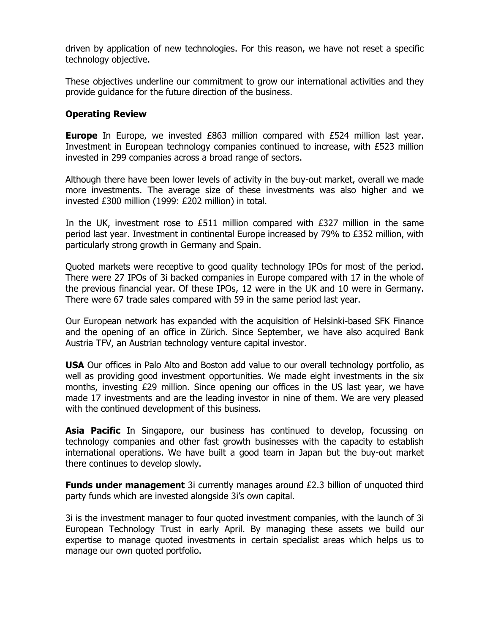driven by application of new technologies. For this reason, we have not reset a specific technology objective.

These objectives underline our commitment to grow our international activities and they provide guidance for the future direction of the business.

### **Operating Review**

**Europe** In Europe, we invested £863 million compared with £524 million last year. Investment in European technology companies continued to increase, with £523 million invested in 299 companies across a broad range of sectors.

Although there have been lower levels of activity in the buy-out market, overall we made more investments. The average size of these investments was also higher and we invested £300 million (1999: £202 million) in total.

In the UK, investment rose to  $£511$  million compared with  $£327$  million in the same period last year. Investment in continental Europe increased by 79% to £352 million, with particularly strong growth in Germany and Spain.

Quoted markets were receptive to good quality technology IPOs for most of the period. There were 27 IPOs of 3i backed companies in Europe compared with 17 in the whole of the previous financial year. Of these IPOs, 12 were in the UK and 10 were in Germany. There were 67 trade sales compared with 59 in the same period last year.

Our European network has expanded with the acquisition of Helsinki-based SFK Finance and the opening of an office in Zürich. Since September, we have also acquired Bank Austria TFV, an Austrian technology venture capital investor.

**USA** Our offices in Palo Alto and Boston add value to our overall technology portfolio, as well as providing good investment opportunities. We made eight investments in the six months, investing £29 million. Since opening our offices in the US last year, we have made 17 investments and are the leading investor in nine of them. We are very pleased with the continued development of this business.

**Asia Pacific** In Singapore, our business has continued to develop, focussing on technology companies and other fast growth businesses with the capacity to establish international operations. We have built a good team in Japan but the buy-out market there continues to develop slowly.

**Funds under management** 3i currently manages around £2.3 billion of unquoted third party funds which are invested alongside 3i's own capital.

3i is the investment manager to four quoted investment companies, with the launch of 3i European Technology Trust in early April. By managing these assets we build our expertise to manage quoted investments in certain specialist areas which helps us to manage our own quoted portfolio.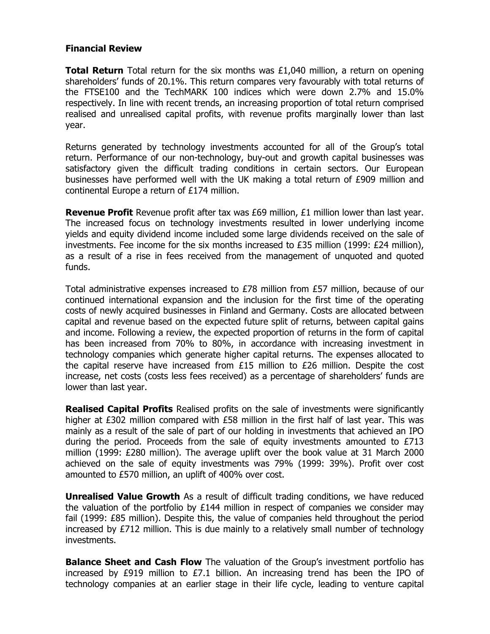### **Financial Review**

**Total Return** Total return for the six months was £1,040 million, a return on opening shareholders' funds of 20.1%. This return compares very favourably with total returns of the FTSE100 and the TechMARK 100 indices which were down 2.7% and 15.0% respectively. In line with recent trends, an increasing proportion of total return comprised realised and unrealised capital profits, with revenue profits marginally lower than last year.

Returns generated by technology investments accounted for all of the Group's total return. Performance of our non-technology, buy-out and growth capital businesses was satisfactory given the difficult trading conditions in certain sectors. Our European businesses have performed well with the UK making a total return of £909 million and continental Europe a return of £174 million.

**Revenue Profit** Revenue profit after tax was £69 million, £1 million lower than last year. The increased focus on technology investments resulted in lower underlying income yields and equity dividend income included some large dividends received on the sale of investments. Fee income for the six months increased to  $E35$  million (1999:  $E24$  million), as a result of a rise in fees received from the management of unquoted and quoted funds.

Total administrative expenses increased to  $E78$  million from  $E57$  million, because of our continued international expansion and the inclusion for the first time of the operating costs of newly acquired businesses in Finland and Germany. Costs are allocated between capital and revenue based on the expected future split of returns, between capital gains and income. Following a review, the expected proportion of returns in the form of capital has been increased from 70% to 80%, in accordance with increasing investment in technology companies which generate higher capital returns. The expenses allocated to the capital reserve have increased from £15 million to £26 million. Despite the cost increase, net costs (costs less fees received) as a percentage of shareholders' funds are lower than last year.

**Realised Capital Profits** Realised profits on the sale of investments were significantly higher at £302 million compared with £58 million in the first half of last year. This was mainly as a result of the sale of part of our holding in investments that achieved an IPO during the period. Proceeds from the sale of equity investments amounted to  $E713$ million (1999: £280 million). The average uplift over the book value at 31 March 2000 achieved on the sale of equity investments was 79% (1999: 39%). Profit over cost amounted to £570 million, an uplift of 400% over cost.

**Unrealised Value Growth** As a result of difficult trading conditions, we have reduced the valuation of the portfolio by £144 million in respect of companies we consider may fail (1999: £85 million). Despite this, the value of companies held throughout the period increased by  $E712$  million. This is due mainly to a relatively small number of technology investments.

**Balance Sheet and Cash Flow** The valuation of the Group's investment portfolio has increased by £919 million to £7.1 billion. An increasing trend has been the IPO of technology companies at an earlier stage in their life cycle, leading to venture capital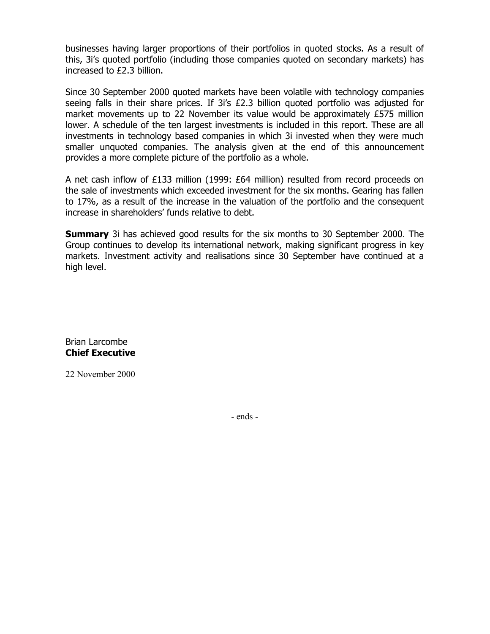businesses having larger proportions of their portfolios in quoted stocks. As a result of this, 3i's quoted portfolio (including those companies quoted on secondary markets) has increased to £2.3 billion.

Since 30 September 2000 quoted markets have been volatile with technology companies seeing falls in their share prices. If 3i's £2.3 billion quoted portfolio was adjusted for market movements up to 22 November its value would be approximately £575 million lower. A schedule of the ten largest investments is included in this report. These are all investments in technology based companies in which 3i invested when they were much smaller unquoted companies. The analysis given at the end of this announcement provides a more complete picture of the portfolio as a whole.

A net cash inflow of £133 million (1999: £64 million) resulted from record proceeds on the sale of investments which exceeded investment for the six months. Gearing has fallen to 17%, as a result of the increase in the valuation of the portfolio and the consequent increase in shareholders' funds relative to debt.

**Summary** 3i has achieved good results for the six months to 30 September 2000. The Group continues to develop its international network, making significant progress in key markets. Investment activity and realisations since 30 September have continued at a high level.

Brian Larcombe **Chief Executive** 

22 November 2000

- ends -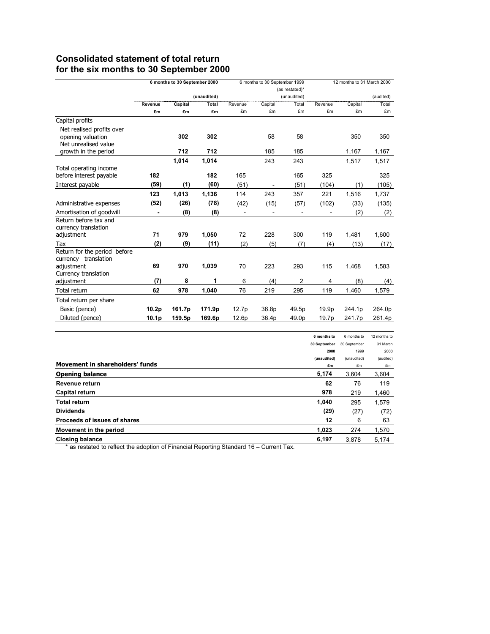# **Consolidated statement of total return for the six months to 30 September 2000**

|                                                                        | 6 months to 30 September 2000 |         | 6 months to 30 September 1999 |                | 12 months to 31 March 2000 |                |                             |                             |                          |
|------------------------------------------------------------------------|-------------------------------|---------|-------------------------------|----------------|----------------------------|----------------|-----------------------------|-----------------------------|--------------------------|
|                                                                        |                               |         |                               | (as restated)* |                            |                |                             |                             |                          |
|                                                                        |                               |         | (unaudited)                   |                |                            | (unaudited)    |                             |                             | (audited)                |
|                                                                        | Revenue                       | Capital | Total                         | Revenue<br>£m  | Capital                    | Total<br>£m    | Revenue<br>£m               | Capital                     | Total                    |
|                                                                        | £m                            | £m      | £m                            |                | £m                         |                |                             | £m                          | £m                       |
| Capital profits                                                        |                               |         |                               |                |                            |                |                             |                             |                          |
| Net realised profits over<br>opening valuation<br>Net unrealised value |                               | 302     | 302                           |                | 58                         | 58             |                             | 350                         | 350                      |
| growth in the period                                                   |                               | 712     | 712                           |                | 185                        | 185            |                             | 1,167                       | 1,167                    |
|                                                                        |                               | 1,014   | 1.014                         |                | 243                        | 243            |                             | 1,517                       | 1,517                    |
| Total operating income                                                 |                               |         |                               |                |                            |                |                             |                             |                          |
| before interest payable                                                | 182                           |         | 182                           | 165            |                            | 165            | 325                         |                             | 325                      |
| Interest payable                                                       | (59)                          | (1)     | (60)                          | (51)           | $\overline{a}$             | (51)           | (104)                       | (1)                         | (105)                    |
|                                                                        | 123                           | 1,013   | 1,136                         | 114            | 243                        | 357            | 221                         | 1,516                       | 1,737                    |
| Administrative expenses                                                | (52)                          | (26)    | (78)                          | (42)           | (15)                       | (57)           | (102)                       | (33)                        | (135)                    |
| Amortisation of goodwill                                               | $\overline{\phantom{a}}$      | (8)     | (8)                           | ٠              |                            |                |                             | (2)                         | (2)                      |
| Return before tax and<br>currency translation                          |                               |         |                               |                |                            |                |                             |                             |                          |
| adjustment                                                             | 71                            | 979     | 1,050                         | 72             | 228                        | 300            | 119                         | 1,481                       | 1,600                    |
| Tax                                                                    | (2)                           | (9)     | (11)                          | (2)            | (5)                        | (7)            | (4)                         | (13)                        | (17)                     |
| Return for the period before<br>currency translation                   |                               |         |                               |                |                            |                |                             |                             |                          |
| adjustment<br>Currency translation                                     | 69                            | 970     | 1,039                         | 70             | 223                        | 293            | 115                         | 1,468                       | 1,583                    |
| adjustment                                                             | (7)                           | 8       | 1                             | 6              | (4)                        | $\overline{2}$ | 4                           | (8)                         | (4)                      |
| Total return                                                           | 62                            | 978     | 1,040                         | 76             | 219                        | 295            | 119                         | 1,460                       | 1,579                    |
| Total return per share                                                 |                               |         |                               |                |                            |                |                             |                             |                          |
| Basic (pence)                                                          | 10.2p                         | 161.7p  | 171.9p                        | 12.7p          | 36.8p                      | 49.5p          | 19.9p                       | 244.1p                      | 264.0p                   |
| Diluted (pence)                                                        | 10.1p                         | 159.5p  | 169.6p                        | 12.6p          | 36.4p                      | 49.0p          | 19.7p                       | 241.7p                      | 261.4p                   |
|                                                                        |                               |         |                               |                |                            |                |                             |                             |                          |
|                                                                        |                               |         |                               |                |                            |                | 6 months to<br>30 September | 6 months to<br>30 September | 12 months to<br>31 March |
|                                                                        |                               |         |                               |                |                            |                | 2000<br>(unaudited)         | 1999<br>(unaudited)         | 2000<br>(audited)        |
| Movement in shareholders' funds                                        |                               |         |                               |                |                            |                | £m                          | £m                          | £m                       |
| <b>Opening balance</b>                                                 |                               |         |                               |                |                            |                | 5,174                       | 3,604                       | 3,604                    |
| <b>Revenue return</b>                                                  |                               |         |                               |                |                            |                | 62                          | 76                          | 119                      |
| Capital return                                                         |                               |         |                               |                |                            |                | 978                         | 219                         | 1,460                    |
| <b>Total return</b>                                                    |                               |         |                               |                |                            |                | 1,040                       | 295                         | 1,579                    |
| <b>Dividends</b>                                                       |                               |         |                               |                |                            |                | (29)                        | (27)                        | (72)                     |
| Proceeds of issues of shares                                           |                               |         |                               |                |                            |                | 12                          | 6                           | 63                       |
| Movement in the period                                                 |                               |         |                               |                |                            |                | 1,023                       | 274                         | 1,570                    |
| <b>Closing balance</b>                                                 |                               |         |                               |                |                            |                | 6.197                       | 3.878                       | 5.174                    |

\* as restated to reflect the adoption of Financial Reporting Standard 16 – Current Tax.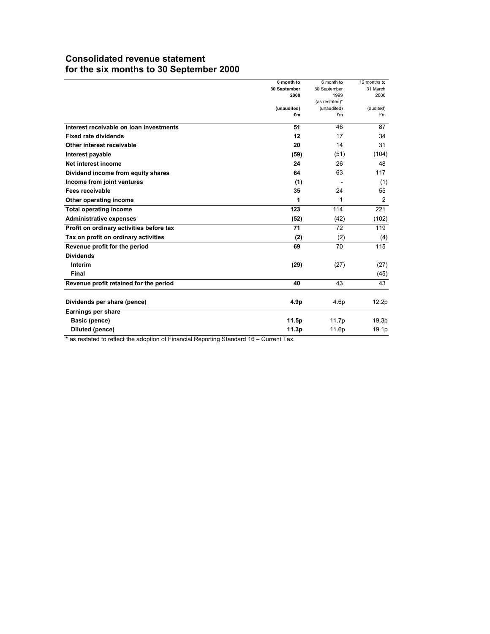# **Consolidated revenue statement for the six months to 30 September 2000**

|                                          | 6 month to        | 6 month to        | 12 months to    |
|------------------------------------------|-------------------|-------------------|-----------------|
|                                          | 30 September      | 30 September      | 31 March        |
|                                          | 2000              | 1999              | 2000            |
|                                          |                   | (as restated)*    |                 |
|                                          | (unaudited)<br>£m | (unaudited)<br>£m | (audited)<br>£m |
|                                          |                   |                   |                 |
| Interest receivable on loan investments  | 51                | 46                | 87              |
| <b>Fixed rate dividends</b>              | 12                | 17                | 34              |
| Other interest receivable                | 20                | 14                | 31              |
| Interest payable                         | (59)              | (51)              | (104)           |
| Net interest income                      | 24                | 26                | 48              |
| Dividend income from equity shares       | 64                | 63                | 117             |
| Income from joint ventures               | (1)               |                   | (1)             |
| Fees receivable                          | 35                | 24                | 55              |
| Other operating income                   | 1                 | 1                 | 2               |
| <b>Total operating income</b>            | 123               | 114               | 221             |
| <b>Administrative expenses</b>           | (52)              | (42)              | (102)           |
| Profit on ordinary activities before tax | 71                | 72                | 119             |
| Tax on profit on ordinary activities     | (2)               | (2)               | (4)             |
| Revenue profit for the period            | 69                | 70                | 115             |
| <b>Dividends</b>                         |                   |                   |                 |
| Interim                                  | (29)              | (27)              | (27)            |
| Final                                    |                   |                   | (45)            |
| Revenue profit retained for the period   | 40                | 43                | 43              |
| Dividends per share (pence)              | 4.9p              | 4.6 <sub>p</sub>  | 12.2p           |
| Earnings per share                       |                   |                   |                 |
| Basic (pence)                            | 11.5p             | 11.7p             | 19.3p           |
| Diluted (pence)                          | 11.3p             | 11.6p             | 19.1p           |
|                                          |                   |                   |                 |

\* as restated to reflect the adoption of Financial Reporting Standard 16 – Current Tax.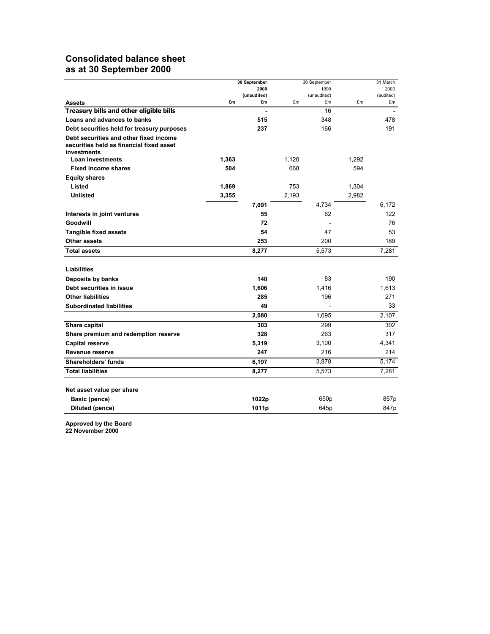# **Consolidated balance sheet as at 30 September 2000**

|                                                                                                   | 30 September |                   | 30 September |                   |       | 31 March        |
|---------------------------------------------------------------------------------------------------|--------------|-------------------|--------------|-------------------|-------|-----------------|
|                                                                                                   |              | 2000              |              | 1999              |       | 2000            |
| <b>Assets</b>                                                                                     | £m           | (unaudited)<br>£m | £m           | (unaudited)<br>£m | £m    | (audited)<br>£m |
| Treasury bills and other eligible bills                                                           |              |                   |              | 16                |       |                 |
| Loans and advances to banks                                                                       |              | 515               |              | 348               |       | 478             |
| Debt securities held for treasury purposes                                                        |              | 237               |              | 166               |       | 191             |
| Debt securities and other fixed income<br>securities held as financial fixed asset<br>investments |              |                   |              |                   |       |                 |
| <b>Loan investments</b>                                                                           | 1,363        |                   | 1,120        |                   | 1,292 |                 |
| <b>Fixed income shares</b>                                                                        | 504          |                   | 668          |                   | 594   |                 |
| <b>Equity shares</b>                                                                              |              |                   |              |                   |       |                 |
| Listed                                                                                            | 1,869        |                   | 753          |                   | 1,304 |                 |
| <b>Unlisted</b>                                                                                   | 3,355        |                   | 2,193        |                   | 2,982 |                 |
|                                                                                                   |              | 7,091             |              | 4,734             |       | 6,172           |
| Interests in joint ventures                                                                       |              | 55                |              | 62                |       | 122             |
| Goodwill                                                                                          |              | 72                |              |                   |       | 76              |
| <b>Tangible fixed assets</b>                                                                      |              | 54                |              | 47                |       | 53              |
| Other assets                                                                                      |              | 253               |              | 200               |       | 189             |
| <b>Total assets</b>                                                                               |              | 8,277             |              | 5,573             |       | 7.281           |
| Liabilities                                                                                       |              |                   |              |                   |       |                 |
| Deposits by banks                                                                                 |              | 140               |              | 83                |       | 190             |
| Debt securities in issue                                                                          |              | 1,606             |              | 1,416             |       | 1,613           |
| <b>Other liabilities</b>                                                                          |              | 285               |              | 196               |       | 271             |
| <b>Subordinated liabilities</b>                                                                   |              | 49                |              |                   |       | 33              |
|                                                                                                   |              | 2,080             |              | 1,695             |       | 2,107           |
| Share capital                                                                                     |              | 303               |              | 299               |       | 302             |
| Share premium and redemption reserve                                                              |              | 328               |              | 263               |       | 317             |
| <b>Capital reserve</b>                                                                            |              | 5,319             |              | 3,100             |       | 4,341           |
| Revenue reserve                                                                                   |              | 247               |              | 216               |       | 214             |
| Shareholders' funds                                                                               |              | 6,197             |              | 3,878             |       | 5,174           |
| <b>Total liabilities</b>                                                                          |              | 8,277             |              | 5,573             |       | 7,281           |
| Net asset value per share                                                                         |              |                   |              |                   |       |                 |
| <b>Basic (pence)</b>                                                                              |              | 1022p             |              | 650p              |       | 857p            |
| Diluted (pence)                                                                                   |              | 1011p             |              | 645p              |       | 847p            |

**Approved by the Board** 

**22 November 2000**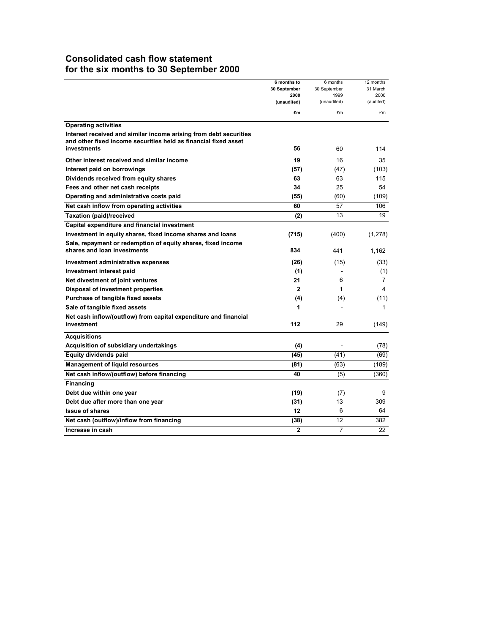# **Consolidated cash flow statement for the six months to 30 September 2000**

|                                                                   | 6 months to         | 6 months       | 12 months      |
|-------------------------------------------------------------------|---------------------|----------------|----------------|
|                                                                   | 30 September        | 30 September   | 31 March       |
|                                                                   | 2000<br>(unaudited) | 1999           | 2000           |
|                                                                   |                     | (unaudited)    | (audited)      |
|                                                                   | £m                  | £m             | £m             |
| <b>Operating activities</b>                                       |                     |                |                |
| Interest received and similar income arising from debt securities |                     |                |                |
| and other fixed income securities held as financial fixed asset   |                     |                |                |
| <b>investments</b>                                                | 56                  | 60             | 114            |
| Other interest received and similar income                        | 19                  | 16             | 35             |
| Interest paid on borrowings                                       | (57)                | (47)           | (103)          |
| Dividends received from equity shares                             | 63                  | 63             | 115            |
| Fees and other net cash receipts                                  | 34                  | 25             | 54             |
| Operating and administrative costs paid                           | (55)                | (60)           | (109)          |
| Net cash inflow from operating activities                         | 60                  | 57             | 106            |
| Taxation (paid)/received                                          | (2)                 | 13             | 19             |
| Capital expenditure and financial investment                      |                     |                |                |
| Investment in equity shares, fixed income shares and loans        | (715)               | (400)          | (1,278)        |
| Sale, repayment or redemption of equity shares, fixed income      |                     |                |                |
| shares and loan investments                                       | 834                 | 441            | 1.162          |
| Investment administrative expenses                                | (26)                | (15)           | (33)           |
| Investment interest paid                                          | (1)                 |                | (1)            |
| Net divestment of joint ventures                                  | 21                  | 6              | $\overline{7}$ |
| Disposal of investment properties                                 | $\mathbf{2}$        | 1              | 4              |
| Purchase of tangible fixed assets                                 | (4)                 | (4)            | (11)           |
| Sale of tangible fixed assets                                     | 1                   |                | 1              |
| Net cash inflow/(outflow) from capital expenditure and financial  |                     |                |                |
| investment                                                        | 112                 | 29             | (149)          |
| <b>Acquisitions</b>                                               |                     |                |                |
| Acquisition of subsidiary undertakings                            | (4)                 |                | (78)           |
| <b>Equity dividends paid</b>                                      | (45)                | (41)           | (69)           |
| <b>Management of liquid resources</b>                             | (81)                | (63)           | (189)          |
| Net cash inflow/(outflow) before financing                        | 40                  | (5)            | (360)          |
| <b>Financing</b>                                                  |                     |                |                |
| Debt due within one year                                          | (19)                | (7)            | 9              |
| Debt due after more than one year                                 | (31)                | 13             | 309            |
| <b>Issue of shares</b>                                            | 12                  | 6              | 64             |
| Net cash (outflow)/inflow from financing                          | (38)                | 12             | 382            |
| Increase in cash                                                  | $\overline{2}$      | $\overline{7}$ | 22             |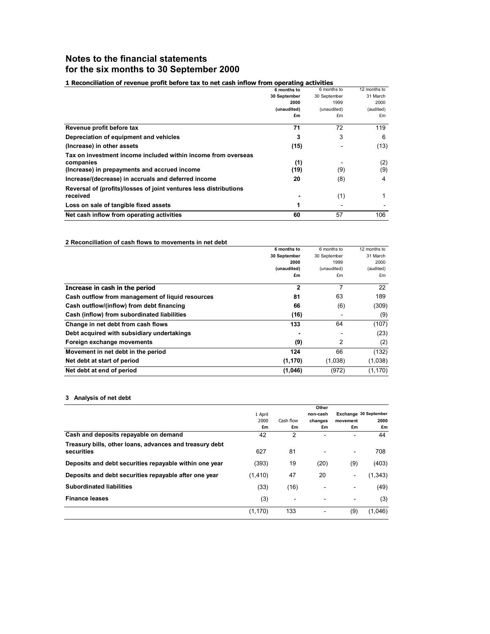# **Notes to the financial statements for the six months to 30 September 2000**

### **1 Reconciliation of revenue profit before tax to net cash inflow from operating activities**

|                                                                   | 6 months to  | 6 months to  | 12 months to |
|-------------------------------------------------------------------|--------------|--------------|--------------|
|                                                                   | 30 September | 30 September | 31 March     |
|                                                                   | 2000         | 1999         | 2000         |
|                                                                   | (unaudited)  | (unaudited)  | (audited)    |
|                                                                   | £m           | £m           | £m           |
| Revenue profit before tax                                         | 71           | 72           | 119          |
| Depreciation of equipment and vehicles                            | 3            | 3            | 6            |
| (Increase) in other assets                                        | (15)         |              | (13)         |
| Tax on investment income included within income from overseas     |              |              |              |
| companies                                                         | (1)          |              | (2)          |
| (Increase) in prepayments and accrued income                      | (19)         | (9)          | (9)          |
| Increase/(decrease) in accruals and deferred income               | 20           | (8)          | 4            |
| Reversal of (profits)/losses of joint ventures less distributions |              |              |              |
| received                                                          |              | (1)          | 1            |
| Loss on sale of tangible fixed assets                             |              |              |              |
| Net cash inflow from operating activities                         | 60           | 57           | 106          |

#### **2 Reconciliation of cash flows to movements in net debt**

|                                                  | 6 months to  | 6 months to  | 12 months to |
|--------------------------------------------------|--------------|--------------|--------------|
|                                                  | 30 September | 30 September | 31 March     |
|                                                  | 2000         | 1999         | 2000         |
|                                                  | (unaudited)  | (unaudited)  | (audited)    |
|                                                  | £m           | £m           | £m           |
| Increase in cash in the period                   | $\mathbf{2}$ | 7            | 22           |
| Cash outflow from management of liquid resources | 81           | 63           | 189          |
| Cash outflow/(inflow) from debt financing        | 66           | (6)          | (309)        |
| Cash (inflow) from subordinated liabilities      | (16)         |              | (9)          |
| Change in net debt from cash flows               | 133          | 64           | (107)        |
| Debt acquired with subsidiary undertakings       |              |              | (23)         |
| Foreign exchange movements                       | (9)          | 2            | (2)          |
| Movement in net debt in the period               | 124          | 66           | (132)        |
| Net debt at start of period                      | (1, 170)     | (1,038)      | (1,038)      |
| Net debt at end of period                        | (1,046)      | (972)        | (1, 170)     |

#### **3 Analysis of net debt**

|                                                                       |          |                | Other    |                          |         |
|-----------------------------------------------------------------------|----------|----------------|----------|--------------------------|---------|
|                                                                       | 1 April  |                | non-cash | Exchange 30 September    |         |
|                                                                       | 2000     | Cash flow      | changes  | movement                 | 2000    |
|                                                                       | £m       | £m             | £m       | £m                       | £m      |
| Cash and deposits repayable on demand                                 | 42       | $\overline{2}$ |          |                          | 44      |
| Treasury bills, other loans, advances and treasury debt<br>securities | 627      | 81             |          | $\overline{\phantom{a}}$ | 708     |
| Deposits and debt securities repayable within one year                | (393)    | 19             | (20)     | (9)                      | (403)   |
| Deposits and debt securities repayable after one year                 | (1, 410) | 47             | 20       | $\overline{\phantom{a}}$ | (1,343) |
| <b>Subordinated liabilities</b>                                       | (33)     | (16)           |          |                          | (49)    |
| <b>Finance leases</b>                                                 | (3)      | ۰              |          |                          | (3)     |
|                                                                       | (1, 170) | 133            |          | (9)                      | (1,046) |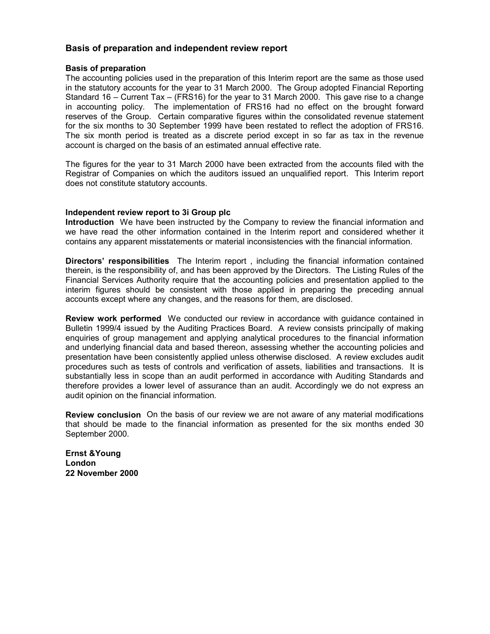### **Basis of preparation and independent review report**

### **Basis of preparation**

The accounting policies used in the preparation of this Interim report are the same as those used in the statutory accounts for the year to 31 March 2000. The Group adopted Financial Reporting Standard 16 – Current Tax – (FRS16) for the year to 31 March 2000. This gave rise to a change in accounting policy. The implementation of FRS16 had no effect on the brought forward reserves of the Group. Certain comparative figures within the consolidated revenue statement for the six months to 30 September 1999 have been restated to reflect the adoption of FRS16. The six month period is treated as a discrete period except in so far as tax in the revenue account is charged on the basis of an estimated annual effective rate.

The figures for the year to 31 March 2000 have been extracted from the accounts filed with the Registrar of Companies on which the auditors issued an unqualified report. This Interim report does not constitute statutory accounts.

### **Independent review report to 3i Group plc**

**Introduction** We have been instructed by the Company to review the financial information and we have read the other information contained in the Interim report and considered whether it contains any apparent misstatements or material inconsistencies with the financial information.

**Directors' responsibilities** The Interim report , including the financial information contained therein, is the responsibility of, and has been approved by the Directors. The Listing Rules of the Financial Services Authority require that the accounting policies and presentation applied to the interim figures should be consistent with those applied in preparing the preceding annual accounts except where any changes, and the reasons for them, are disclosed.

**Review work performed** We conducted our review in accordance with guidance contained in Bulletin 1999/4 issued by the Auditing Practices Board. A review consists principally of making enquiries of group management and applying analytical procedures to the financial information and underlying financial data and based thereon, assessing whether the accounting policies and presentation have been consistently applied unless otherwise disclosed. A review excludes audit procedures such as tests of controls and verification of assets, liabilities and transactions. It is substantially less in scope than an audit performed in accordance with Auditing Standards and therefore provides a lower level of assurance than an audit. Accordingly we do not express an audit opinion on the financial information.

**Review conclusion** On the basis of our review we are not aware of any material modifications that should be made to the financial information as presented for the six months ended 30 September 2000.

**Ernst &Young London 22 November 2000**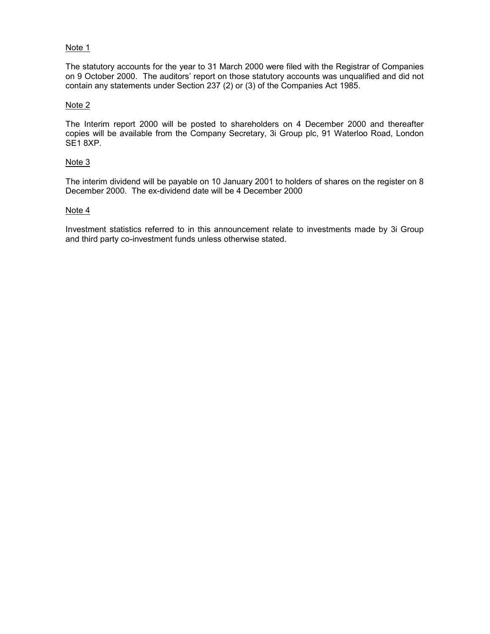### Note 1

The statutory accounts for the year to 31 March 2000 were filed with the Registrar of Companies on 9 October 2000. The auditors' report on those statutory accounts was unqualified and did not contain any statements under Section 237 (2) or (3) of the Companies Act 1985.

### Note 2

The Interim report 2000 will be posted to shareholders on 4 December 2000 and thereafter copies will be available from the Company Secretary, 3i Group plc, 91 Waterloo Road, London SE1 8XP.

### Note 3

The interim dividend will be payable on 10 January 2001 to holders of shares on the register on 8 December 2000. The ex-dividend date will be 4 December 2000

### Note 4

Investment statistics referred to in this announcement relate to investments made by 3i Group and third party co-investment funds unless otherwise stated.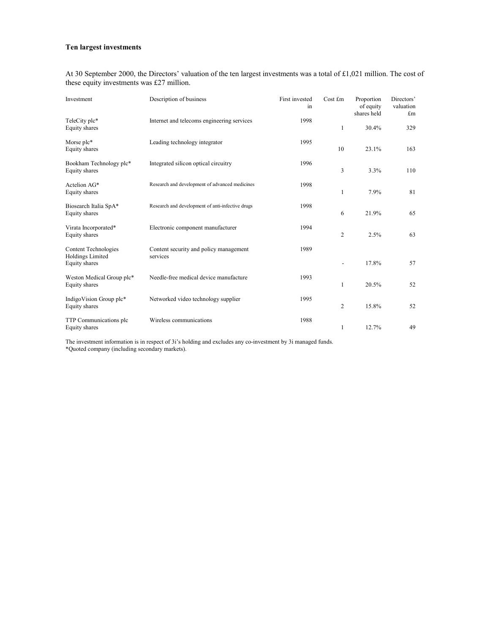#### **Ten largest investments**

At 30 September 2000, the Directors' valuation of the ten largest investments was a total of £1,021 million. The cost of these equity investments was £27 million.

| Investment                                      | Description of business                            | First invested<br>1n | Cost £m | Proportion<br>of equity<br>shares held | Directors'<br>valuation<br>£m |
|-------------------------------------------------|----------------------------------------------------|----------------------|---------|----------------------------------------|-------------------------------|
| TeleCity plc*<br>Equity shares                  | Internet and telecoms engineering services         | 1998                 | 1       | 30.4%                                  | 329                           |
| Morse plc*<br>Equity shares                     | Leading technology integrator                      | 1995                 | 10      | 23.1%                                  | 163                           |
| Bookham Technology plc*<br>Equity shares        | Integrated silicon optical circuitry               | 1996                 | 3       | 3.3%                                   | 110                           |
| Actelion AG*<br>Equity shares                   | Research and development of advanced medicines     | 1998                 | 1       | 7.9%                                   | 81                            |
| Biosearch Italia SpA*<br>Equity shares          | Research and development of anti-infective drugs   | 1998                 | 6       | 21.9%                                  | 65                            |
| Virata Incorporated*<br>Equity shares           | Electronic component manufacturer                  | 1994                 | 2       | 2.5%                                   | 63                            |
| Content Technologies<br><b>Holdings Limited</b> | Content security and policy management<br>services | 1989                 |         |                                        |                               |
| Equity shares                                   |                                                    |                      |         | 17.8%                                  | 57                            |
| Weston Medical Group plc*<br>Equity shares      | Needle-free medical device manufacture             | 1993                 | 1       | 20.5%                                  | 52                            |
| IndigoVision Group plc*<br>Equity shares        | Networked video technology supplier                | 1995                 | 2       | 15.8%                                  | 52                            |
| TTP Communications plc<br>Equity shares         | Wireless communications                            | 1988                 | 1       | 12.7%                                  | 49                            |

The investment information is in respect of 3i's holding and excludes any co-investment by 3i managed funds. \*Quoted company (including secondary markets).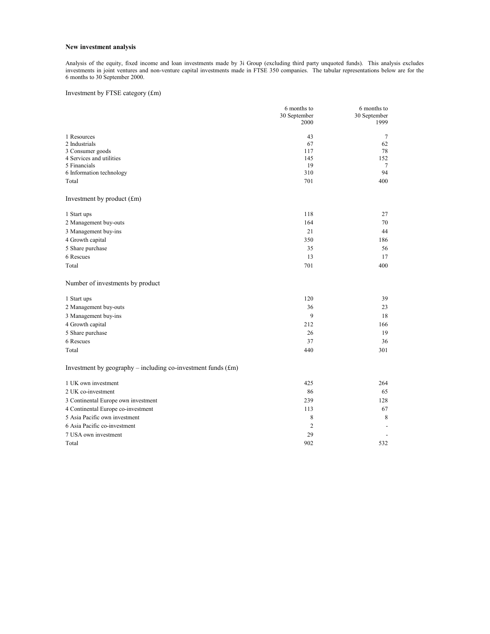#### **New investment analysis**

Analysis of the equity, fixed income and loan investments made by 3i Group (excluding third party unquoted funds). This analysis excludes investments in joint ventures and non-venture capital investments made in FTSE 350 companies. The tabular representations below are for the 6 months to 30 September 2000.

#### Investment by FTSE category (£m)

|                                                                | 6 months to    | 6 months to  |
|----------------------------------------------------------------|----------------|--------------|
|                                                                | 30 September   | 30 September |
|                                                                | 2000           | 1999         |
| 1 Resources                                                    | 43             | 7            |
| 2 Industrials                                                  | 67             | 62           |
| 3 Consumer goods                                               | 117            | 78           |
| 4 Services and utilities                                       | 145            | 152          |
| 5 Financials                                                   | 19             | 7            |
| 6 Information technology                                       | 310            | 94           |
| Total                                                          | 701            | 400          |
| Investment by product (£m)                                     |                |              |
| 1 Start ups                                                    | 118            | 27           |
| 2 Management buy-outs                                          | 164            | 70           |
| 3 Management buy-ins                                           | 21             | 44           |
| 4 Growth capital                                               | 350            | 186          |
| 5 Share purchase                                               | 35             | 56           |
| 6 Rescues                                                      | 13             | 17           |
| Total                                                          | 701            | 400          |
| Number of investments by product                               |                |              |
| 1 Start ups                                                    | 120            | 39           |
| 2 Management buy-outs                                          | 36             | 23           |
| 3 Management buy-ins                                           | 9              | 18           |
| 4 Growth capital                                               | 212            | 166          |
| 5 Share purchase                                               | 26             | 19           |
| 6 Rescues                                                      | 37             | 36           |
| Total                                                          | 440            | 301          |
| Investment by $geography - including co-investment funds (fm)$ |                |              |
| 1 UK own investment                                            | 425            | 264          |
| 2 UK co-investment                                             | 86             | 65           |
| 3 Continental Europe own investment                            | 239            | 128          |
| 4 Continental Europe co-investment                             | 113            | 67           |
| 5 Asia Pacific own investment                                  | 8              | 8            |
| 6 Asia Pacific co-investment                                   | $\overline{c}$ |              |
| 7 USA own investment                                           | 29             |              |
| Total                                                          | 902            | 532          |
|                                                                |                |              |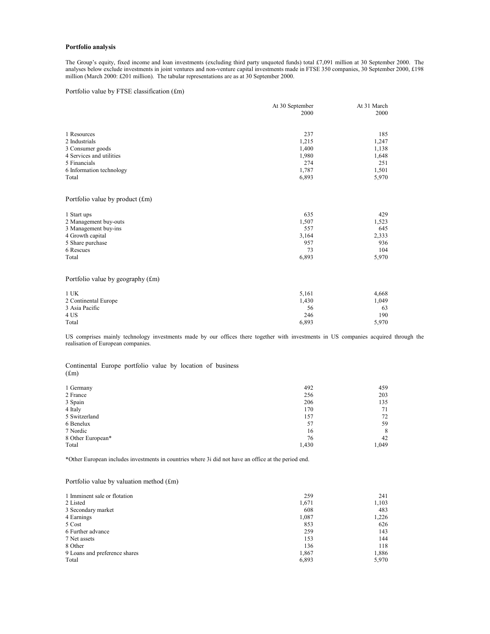#### **Portfolio analysis**

The Group's equity, fixed income and loan investments (excluding third party unquoted funds) total £7,091 million at 30 September 2000. The analyses below exclude investments in joint ventures and non-venture capital investments made in FTSE 350 companies, 30 September 2000, £198 million (March 2000: £201 million). The tabular representations are as at 30 September 2000.

Portfolio value by FTSE classification (£m)

|                                   | At 30 September | At 31 March |
|-----------------------------------|-----------------|-------------|
|                                   | 2000            | 2000        |
|                                   |                 |             |
| 1 Resources                       | 237             | 185         |
| 2 Industrials                     | 1,215           | 1,247       |
| 3 Consumer goods                  | 1,400           | 1,138       |
| 4 Services and utilities          | 1,980           | 1,648       |
| 5 Financials                      | 274             | 251         |
| 6 Information technology          | 1,787           | 1,501       |
| Total                             | 6,893           | 5,970       |
| Portfolio value by product $(fm)$ |                 |             |
| 1 Start ups                       | 635             | 429         |
| 2 Management buy-outs             | 1,507           | 1,523       |
| 3 Management buy-ins              | 557             | 645         |
| 4 Growth capital                  | 3,164           | 2,333       |
| 5 Share purchase                  | 957             | 936         |
| 6 Rescues                         | 73              | 104         |
| Total                             | 6,893           | 5,970       |
| Portfolio value by geography (£m) |                 |             |
| $1$ UK                            | 5,161           | 4,668       |
| 2 Continental Europe              | 1,430           | 1,049       |
| 3 Asia Pacific                    | 56              | 63          |
| 4 US                              | 246             | 190         |
| Total                             | 6.893           | 5,970       |

US comprises mainly technology investments made by our offices there together with investments in US companies acquired through the realisation of European companies.

Continental Europe portfolio value by location of business (£m)

| 1 Germany         | 492   | 459   |
|-------------------|-------|-------|
| 2 France          | 256   | 203   |
| 3 Spain           | 206   | 135   |
| 4 Italy           | 170   | 71    |
| 5 Switzerland     | 157   | 72    |
| 6 Benelux         | 57    | 59    |
| 7 Nordic          | 16    | 8     |
| 8 Other European* | 76    | 42    |
| Total             | 1,430 | 1,049 |

\*Other European includes investments in countries where 3i did not have an office at the period end.

#### Portfolio value by valuation method (£m)

| 1 Imminent sale or flotation  | 259   | 241   |
|-------------------------------|-------|-------|
| 2 Listed                      | 1,671 | 1,103 |
| 3 Secondary market            | 608   | 483   |
| 4 Earnings                    | 1,087 | 1,226 |
| 5 Cost                        | 853   | 626   |
| 6 Further advance             | 259   | 143   |
| 7 Net assets                  | 153   | 144   |
| 8 Other                       | 136   | 118   |
| 9 Loans and preference shares | 1.867 | 1,886 |
| Total                         | 6,893 | 5.970 |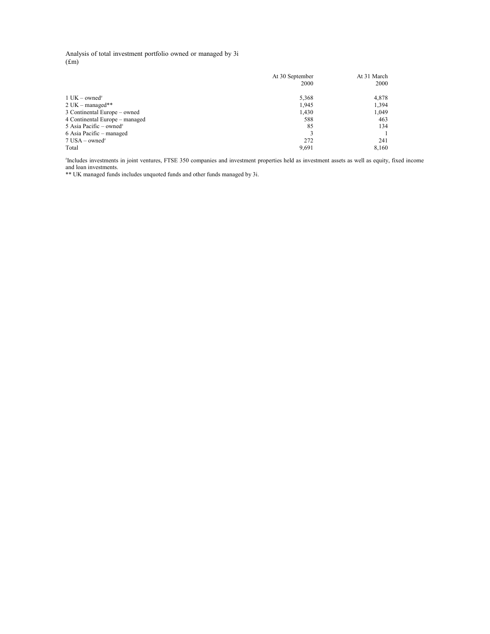Analysis of total investment portfolio owned or managed by 3i (£m)

|                                     | At 30 September<br>2000 | At 31 March<br>2000 |
|-------------------------------------|-------------------------|---------------------|
|                                     |                         |                     |
| $1$ UK – owned <sup>#</sup>         | 5,368                   | 4,878               |
| $2$ UK – managed**                  | 1,945                   | 1,394               |
| 3 Continental Europe – owned        | 1,430                   | 1.049               |
| 4 Continental Europe – managed      | 588                     | 463                 |
| 5 Asia Pacific – owned <sup>#</sup> | 85                      | 134                 |
| 6 Asia Pacific – managed            |                         |                     |
| $7$ USA – owned <sup>#</sup>        | 272                     | 241                 |
| Total                               | 9.691                   | 8,160               |

# Includes investments in joint ventures, FTSE 350 companies and investment properties held as investment assets as well as equity, fixed income and loan investments.

\*\* UK managed funds includes unquoted funds and other funds managed by 3i.